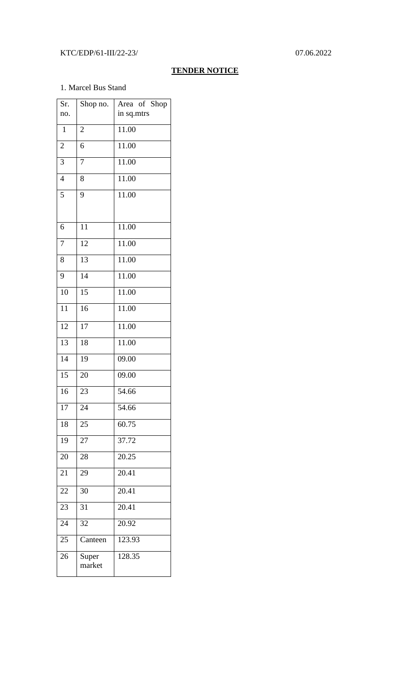### KTC/EDP/61-III/22-23/ 07.06.2022

### **TENDER NOTICE**

#### 1. Marcel Bus Stand

| Sr.<br>no.     | Shop no.        | Area of Shop<br>in sq.mtrs |
|----------------|-----------------|----------------------------|
|                |                 |                            |
| $\mathbf{1}$   | $\overline{c}$  | 11.00                      |
| $\overline{c}$ | 6               | 11.00                      |
| 3              | $\overline{7}$  | 11.00                      |
| $\overline{4}$ | 8               | 11.00                      |
| 5              | 9               | 11.00                      |
|                |                 |                            |
| 6              | 11              | 11.00                      |
| 7              | 12              | 11.00                      |
| 8              | $\overline{13}$ | 11.00                      |
| 9              | $\overline{14}$ | $\frac{11.00}{x}$          |
| 10             | $\overline{15}$ | 11.00                      |
| 11             | 16              | 11.00                      |
| 12             | 17              | 11.00                      |
| 13             | 18              | 11.00                      |
| 14             | 19              | 09.00                      |
| 15             | 20              | 09.00                      |
| 16             | 23              | 54.66                      |
| 17             | 24              | 54.66                      |
| 18             | 25              | 60.75                      |
| 19             | 27              | 37.72                      |
| 20             | 28              | 20.25                      |
| 21             | 29              | $\overline{20.41}$         |
| 22             | 30              | 20.41                      |
| 23             | 31              | 20.41                      |
| 24             | 32              | 20.92                      |
| 25             | Canteen         | 123.93                     |
| 26             | Super<br>market | 128.35                     |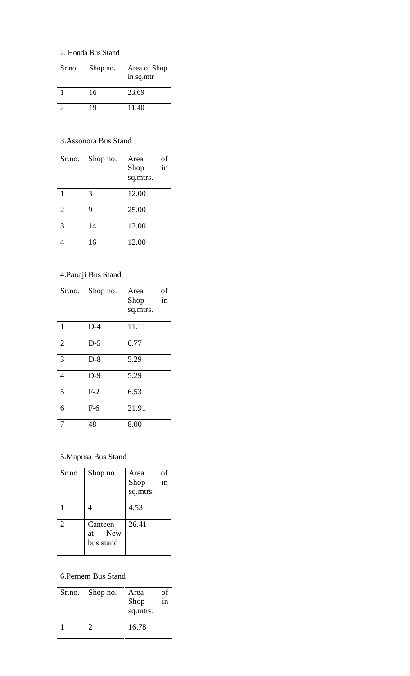### 2. Honda Bus Stand

| Sr.no. | Shop no. | Area of Shop<br>in sq.mtr |
|--------|----------|---------------------------|
|        | 16       | 23.69                     |
| 2      | 19       | 11.40                     |

### 3.Assonora Bus Stand

| Sr.no.         | Shop no. | Area<br>Shop<br>sq.mtrs. | of<br>in |
|----------------|----------|--------------------------|----------|
|                | 3        | 12.00                    |          |
| $\overline{2}$ | 9        | 25.00                    |          |
| 3              | 14       | 12.00                    |          |
|                | 16       | 12.00                    |          |

# 4.Panaji Bus Stand

| Sr.no.         | Shop no. | Area<br>Shop | of<br>in |
|----------------|----------|--------------|----------|
|                |          | sq.mtrs.     |          |
| $\mathbf{1}$   | $D-4$    | 11.11        |          |
| $\overline{2}$ | $D-5$    | 6.77         |          |
| 3              | $D-8$    | 5.29         |          |
| $\overline{4}$ | $D-9$    | 5.29         |          |
| 5              | $F-2$    | 6.53         |          |
| 6              | $F-6$    | 21.91        |          |
| 7              | 48       | 8.00         |          |

# 5.Mapusa Bus Stand

| Sr.no. | Shop no.                       | Area<br>Shop<br>sq.mtrs. | Οİ<br>in |
|--------|--------------------------------|--------------------------|----------|
|        |                                | 4.53                     |          |
| 2      | Canteen<br>at New<br>bus stand | 26.41                    |          |

## 6.Pernem Bus Stand

| Sr.no. | Shop no. | Area<br>Shop<br>sq.mtrs. | Οt<br>1n |
|--------|----------|--------------------------|----------|
|        |          | 16.78                    |          |